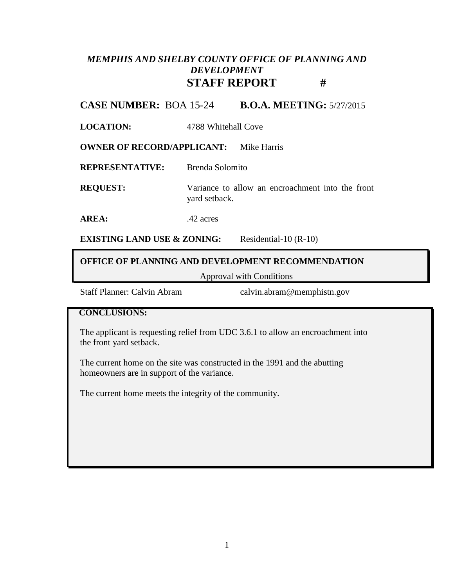# *MEMPHIS AND SHELBY COUNTY OFFICE OF PLANNING AND DEVELOPMENT* **STAFF REPORT #**

**CASE NUMBER:** BOA 15-24 **B.O.A. MEETING:** 5/27/2015

**LOCATION:** 4788 Whitehall Cove

**OWNER OF RECORD/APPLICANT:** Mike Harris

**REPRESENTATIVE:** Brenda Solomito

**REQUEST:** Variance to allow an encroachment into the front yard setback.

AREA: .42 acres

**EXISTING LAND USE & ZONING:** Residential-10 (R-10)

### **OFFICE OF PLANNING AND DEVELOPMENT RECOMMENDATION**

Approval with Conditions

Staff Planner: Calvin Abram calvin.abram@memphistn.gov

#### **CONCLUSIONS:**

The applicant is requesting relief from UDC 3.6.1 to allow an encroachment into the front yard setback.

The current home on the site was constructed in the 1991 and the abutting homeowners are in support of the variance.

The current home meets the integrity of the community.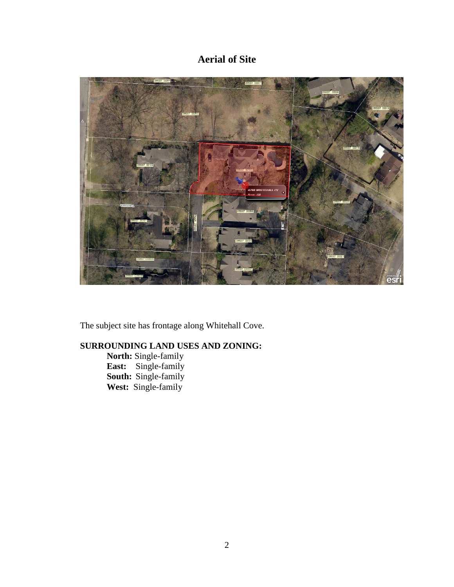# **Aerial of Site**



The subject site has frontage along Whitehall Cove.

## **SURROUNDING LAND USES AND ZONING:**

**North:** Single-family **East:** Single-family **South:** Single-family **West:** Single-family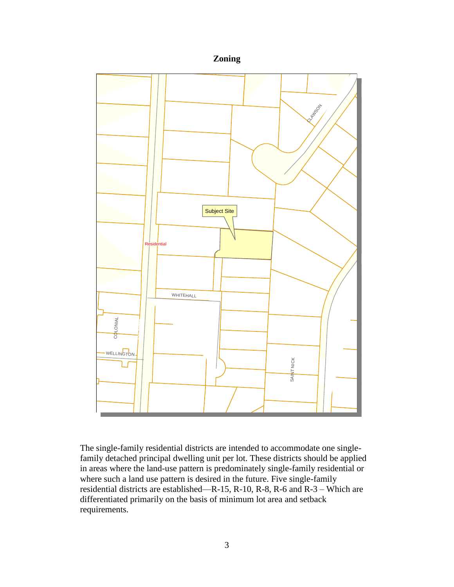### **Zoning**



The single-family residential districts are intended to accommodate one singlefamily detached principal dwelling unit per lot. These districts should be applied in areas where the land-use pattern is predominately single-family residential or where such a land use pattern is desired in the future. Five single-family residential districts are established—R-15, R-10, R-8, R-6 and R-3 – Which are differentiated primarily on the basis of minimum lot area and setback requirements.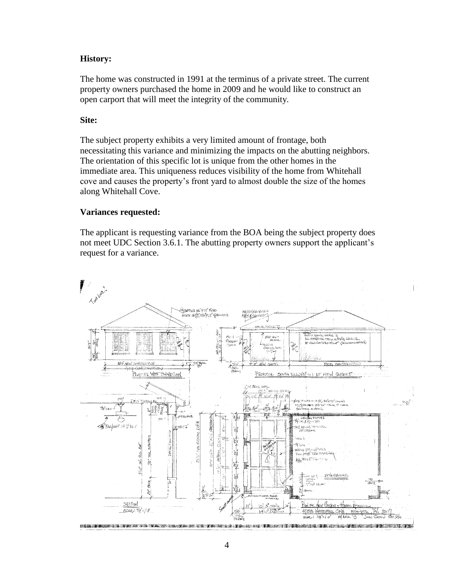#### **History:**

The home was constructed in 1991 at the terminus of a private street. The current property owners purchased the home in 2009 and he would like to construct an open carport that will meet the integrity of the community.

#### **Site:**

The subject property exhibits a very limited amount of frontage, both necessitating this variance and minimizing the impacts on the abutting neighbors. The orientation of this specific lot is unique from the other homes in the immediate area. This uniqueness reduces visibility of the home from Whitehall cove and causes the property's front yard to almost double the size of the homes along Whitehall Cove.

#### **Variances requested:**

The applicant is requesting variance from the BOA being the subject property does not meet UDC Section 3.6.1. The abutting property owners support the applicant's request for a variance.

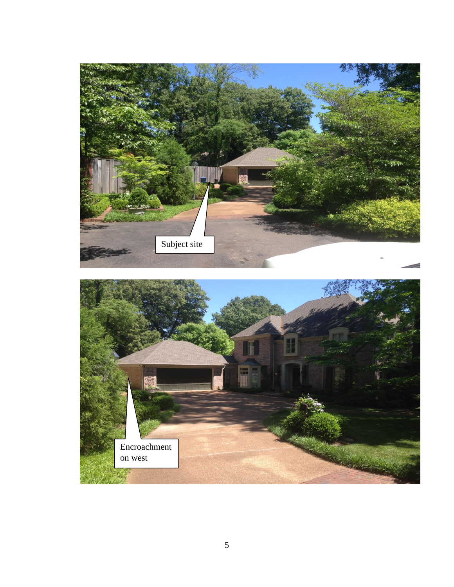

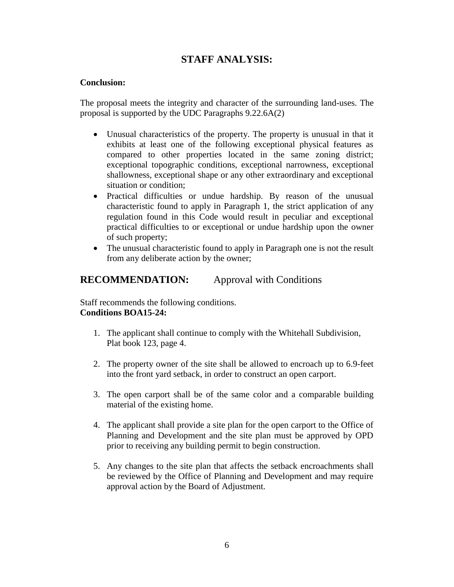## **STAFF ANALYSIS:**

#### **Conclusion:**

The proposal meets the integrity and character of the surrounding land-uses. The proposal is supported by the UDC Paragraphs 9.22.6A(2)

- Unusual characteristics of the property. The property is unusual in that it exhibits at least one of the following exceptional physical features as compared to other properties located in the same zoning district; exceptional topographic conditions, exceptional narrowness, exceptional shallowness, exceptional shape or any other extraordinary and exceptional situation or condition;
- Practical difficulties or undue hardship. By reason of the unusual characteristic found to apply in Paragraph 1, the strict application of any regulation found in this Code would result in peculiar and exceptional practical difficulties to or exceptional or undue hardship upon the owner of such property;
- The unusual characteristic found to apply in Paragraph one is not the result from any deliberate action by the owner;

### **RECOMMENDATION:** Approval with Conditions

Staff recommends the following conditions. **Conditions BOA15-24:**

- 1. The applicant shall continue to comply with the Whitehall Subdivision, Plat book 123, page 4.
- 2. The property owner of the site shall be allowed to encroach up to 6.9-feet into the front yard setback, in order to construct an open carport.
- 3. The open carport shall be of the same color and a comparable building material of the existing home.
- 4. The applicant shall provide a site plan for the open carport to the Office of Planning and Development and the site plan must be approved by OPD prior to receiving any building permit to begin construction.
- 5. Any changes to the site plan that affects the setback encroachments shall be reviewed by the Office of Planning and Development and may require approval action by the Board of Adjustment.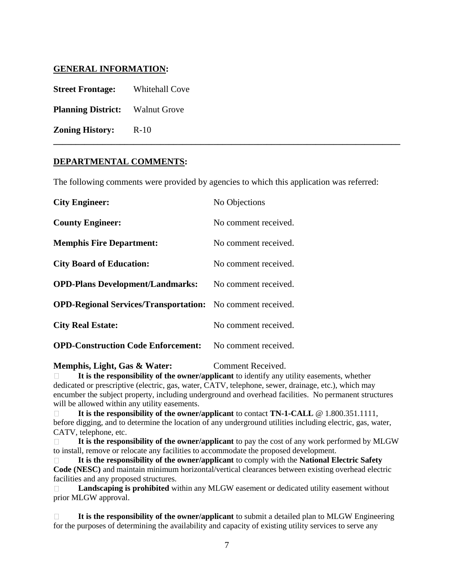#### **GENERAL INFORMATION:**

**Street Frontage:** Whitehall Cove

**Planning District:** Walnut Grove

**Zoning History:** R-10

#### **DEPARTMENTAL COMMENTS:**

The following comments were provided by agencies to which this application was referred:

**\_\_\_\_\_\_\_\_\_\_\_\_\_\_\_\_\_\_\_\_\_\_\_\_\_\_\_\_\_\_\_\_\_\_\_\_\_\_\_\_\_\_\_\_\_\_\_\_\_\_\_\_\_\_\_\_\_\_\_\_\_\_\_\_\_\_\_\_\_\_\_\_\_\_\_\_\_\_**

| <b>City Engineer:</b>                                             | No Objections        |
|-------------------------------------------------------------------|----------------------|
| <b>County Engineer:</b>                                           | No comment received. |
| <b>Memphis Fire Department:</b>                                   | No comment received. |
| <b>City Board of Education:</b>                                   | No comment received. |
| <b>OPD-Plans Development/Landmarks:</b>                           | No comment received. |
| <b>OPD-Regional Services/Transportation:</b> No comment received. |                      |
| <b>City Real Estate:</b>                                          | No comment received. |
| <b>OPD-Construction Code Enforcement:</b> No comment received.    |                      |

#### **Memphis, Light, Gas & Water:** Comment Received.

 **It is the responsibility of the owner/applicant** to identify any utility easements, whether dedicated or prescriptive (electric, gas, water, CATV, telephone, sewer, drainage, etc.), which may encumber the subject property, including underground and overhead facilities. No permanent structures will be allowed within any utility easements.

 **It is the responsibility of the owner/applicant** to contact **TN-1-CALL** @ 1.800.351.1111, before digging, and to determine the location of any underground utilities including electric, gas, water, CATV, telephone, etc.

 **It is the responsibility of the owner/applicant** to pay the cost of any work performed by MLGW to install, remove or relocate any facilities to accommodate the proposed development.

 **It is the responsibility of the owner/applicant** to comply with the **National Electric Safety Code (NESC)** and maintain minimum horizontal/vertical clearances between existing overhead electric facilities and any proposed structures.

 **Landscaping is prohibited** within any MLGW easement or dedicated utility easement without prior MLGW approval.

 **It is the responsibility of the owner/applicant** to submit a detailed plan to MLGW Engineering for the purposes of determining the availability and capacity of existing utility services to serve any